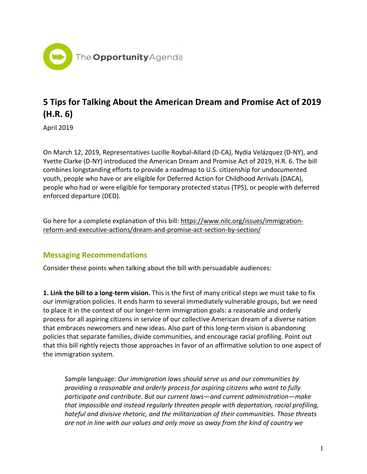

## **5 Tips for Talking About the American Dream and Promise Act of 2019 (H.R. 6)**

April 2019

On March 12, 2019, Representatives Lucille Roybal-Allard (D-CA), Nydia Velázquez (D-NY), and Yvette Clarke (D-NY) introduced the [American](https://www.congress.gov/bill/116th-congress/house-bill/6/text?r=15&s=1) Dream and Promise Act of 2019, H.R. 6. The bill combines longstanding efforts to provide a roadmap to U.S. citizenship for undocumented youth, people who have or are eligible for Deferred Action for Childhood Arrivals (DACA), people who had or were eligible for temporary protected status (TPS), or people with deferred enforced departure (DED).

Go here for a complete explanation of this bill[: https://www.nilc.org/issues/immigration](https://www.nilc.org/issues/immigration-reform-and-executive-actions/dream-and-promise-act-section-by-section/)[reform-and-executive-actions/dream-and-promise-act-section-by-section/](https://www.nilc.org/issues/immigration-reform-and-executive-actions/dream-and-promise-act-section-by-section/)

## **Messaging Recommendations**

Consider these points when talking about the bill with persuadable audiences:

**1. Link the bill to a long-term vision.** This is the first of many critical steps we must take to fix our immigration policies. It ends harm to several immediately vulnerable groups, but we need to place it in the context of our longer-term immigration goals: a reasonable and orderly process for all aspiring citizens in service of our collective American dream of a diverse nation that embraces newcomers and new ideas. Also part of this long-term vision is abandoning policies that separate families, divide communities, and encourage racial profiling. Point out that this bill rightly rejects those approaches in favor of an affirmative solution to one aspect of the immigration system.

Sample language: *Our immigration laws should serve us and our communities by providing a reasonable and orderly process for aspiring citizens who want to fully participate and contribute. But our current laws*—*and current administration*—*make that impossible and instead regularly threaten people with deportation, racial profiling, hateful and divisive rhetoric, and the militarization of their communities. Those threats are not in line with our values and only move us away from the kind of country we*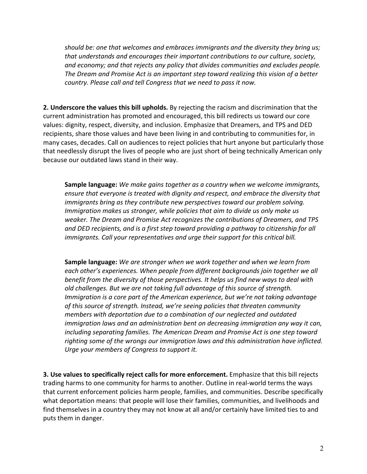*should be: one that welcomes and embraces immigrants and the diversity they bring us; that understands and encourages their important contributions to our culture, society, and economy; and that rejects any policy that divides communities and excludes people. The Dream and Promise Act is an important step toward realizing this vision of a better country. Please call and tell Congress that we need to pass it now.* 

**2. Underscore the values this bill upholds.** By rejecting the racism and discrimination that the current administration has promoted and encouraged, this bill redirects us toward our core values: dignity, respect, diversity, and inclusion. Emphasize that Dreamers, and TPS and DED recipients, share those values and have been living in and contributing to communities for, in many cases, decades. Call on audiences to reject policies that hurt anyone but particularly those that needlessly disrupt the lives of people who are just short of being technically American only because our outdated laws stand in their way.

**Sample language:** *We make gains together as a country when we welcome immigrants, ensure that everyone is treated with dignity and respect, and embrace the diversity that immigrants bring as they contribute new perspectives toward our problem solving. Immigration makes us stronger, while policies that aim to divide us only make us weaker. The Dream and Promise Act recognizes the contributions of Dreamers, and TPS and DED recipients, and is a first step toward providing a pathway to citizenship for all immigrants. Call your representatives and urge their support for this critical bill.*

**Sample language:** *We are stronger when we work together and when we learn from each other's experiences. When people from different backgrounds join together we all benefit from the diversity of those perspectives. It helps us find new ways to deal with old challenges. But we are not taking full advantage of this source of strength. Immigration is a core part of the American experience, but we're not taking advantage of this source of strength. Instead, we're seeing policies that threaten community members with deportation due to a combination of our neglected and outdated immigration laws and an administration bent on decreasing immigration any way it can, including separating families. The American Dream and Promise Act is one step toward righting some of the wrongs our immigration laws and this administration have inflicted. Urge your members of Congress to support it.*

**3. Use values to specifically reject calls for more enforcement.** Emphasize that this bill rejects trading harms to one community for harms to another. Outline in real-world terms the ways that current enforcement policies harm people, families, and communities. Describe specifically what deportation means: that people will lose their families, communities, and livelihoods and find themselves in a country they may not know at all and/or certainly have limited ties to and puts them in danger.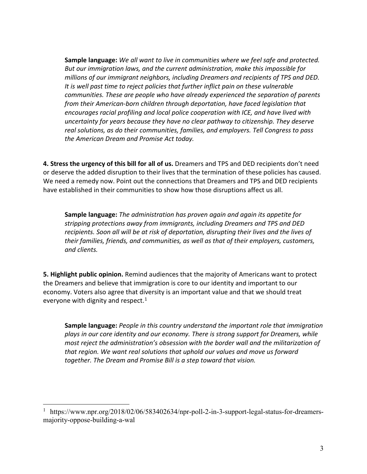**Sample language:** *We all want to live in communities where we feel safe and protected. But our immigration laws, and the current administration, make this impossible for millions of our immigrant neighbors, including Dreamers and recipients of TPS and DED. It is well past time to reject policies that further inflict pain on these vulnerable communities. These are people who have already experienced the separation of parents from their American-born children through deportation, have faced legislation that encourages racial profiling and local police cooperation with ICE, and have lived with uncertainty for years because they have no clear pathway to citizenship. They deserve real solutions, as do their communities, families, and employers. Tell Congress to pass the American Dream and Promise Act today.*

**4. Stress the urgency of this bill for all of us.** Dreamers and TPS and DED recipients don't need or deserve the added disruption to their lives that the termination of these policies has caused. We need a remedy now. Point out the connections that Dreamers and TPS and DED recipients have established in their communities to show how those disruptions affect us all.

**Sample language:** *The administration has proven again and again its appetite for stripping protections away from immigrants, including Dreamers and TPS and DED recipients. Soon all will be at risk of deportation, disrupting their lives and the lives of their families, friends, and communities, as well as that of their employers, customers, and clients.*

**5. Highlight public opinion.** Remind audiences that the majority of Americans want to protect the Dreamers and believe that immigration is core to our identity and important to our economy. Voters also agree that diversity is an important value and that we should treat everyone with dignity and respect. $1$ 

**Sample language:** *People in this country understand the important role that immigration plays in our core identity and our economy. There is strong support for Dreamers, while most reject the administration's obsession with the border wall and the militarization of that region. We want real solutions that uphold our values and move us forward together. The Dream and Promise Bill is a step toward that vision.*

<span id="page-2-0"></span><sup>&</sup>lt;sup>1</sup> https://www.npr.org/2018/02/06/583402634/npr-poll-2-in-3-support-legal-status-for-dreamersmajority-oppose-building-a-wal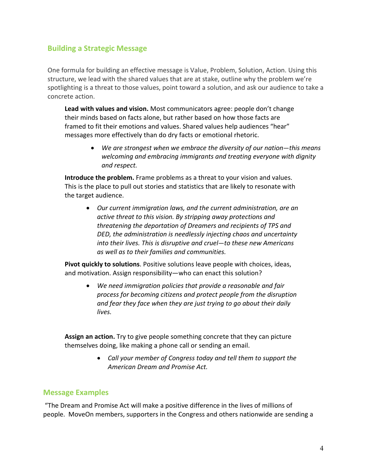## **Building a Strategic Message**

One formula for building an effective message is Value, Problem, Solution, Action. Using this structure, we lead with the shared values that are at stake, outline why the problem we're spotlighting is a threat to those values, point toward a solution, and ask our audience to take a concrete action.

**Lead with values and vision.** Most communicators agree: people don't change their minds based on facts alone, but rather based on how those facts are framed to fit their emotions and values. Shared values help audiences "hear" messages more effectively than do dry facts or emotional rhetoric.

> • *We are strongest when we embrace the diversity of our nation*—*this means welcoming and embracing immigrants and treating everyone with dignity and respect.*

**Introduce the problem.** Frame problems as a threat to your vision and values. This is the place to pull out stories and statistics that are likely to resonate with the target audience.

• *Our current immigration laws, and the current administration, are an active threat to this vision. By stripping away protections and threatening the deportation of Dreamers and recipients of TPS and DED, the administration is needlessly injecting chaos and uncertainty into their lives. This is disruptive and cruel*—*to these new Americans as well as to their families and communities.*

**Pivot quickly to solutions**. Positive solutions leave people with choices, ideas, and motivation. Assign responsibility—who can enact this solution?

• *We need immigration policies that provide a reasonable and fair process for becoming citizens and protect people from the disruption and fear they face when they are just trying to go about their daily lives.*

**Assign an action.** Try to give people something concrete that they can picture themselves doing, like making a phone call or sending an email.

> • *Call your member of Congress today and tell them to support the American Dream and Promise Act.*

## **Message Examples**

"The Dream and Promise Act will make a positive difference in the lives of millions of people. MoveOn members, supporters in the Congress and others nationwide are sending a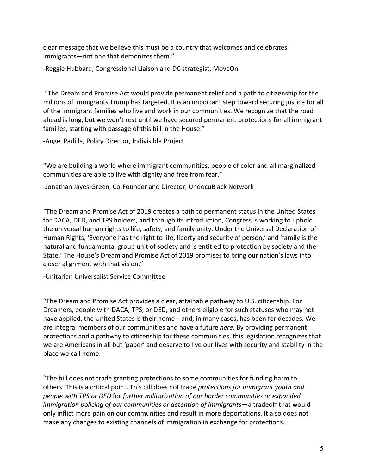clear message that we believe this must be a country that welcomes and celebrates immigrants—not one that demonizes them."

-Reggie Hubbard, Congressional Liaison and DC strategist, MoveOn

"The Dream and Promise Act would provide permanent relief and a path to citizenship for the millions of immigrants Trump has targeted. It is an important step toward securing justice for all of the immigrant families who live and work in our communities. We recognize that the road ahead is long, but we won't rest until we have secured permanent protections for all immigrant families, starting with passage of this bill in the House."

-Angel Padilla, Policy Director, Indivisible Project

"We are building a world where immigrant communities, people of color and all marginalized communities are able to live with dignity and free from fear."

-Jonathan Jayes-Green, Co-Founder and Director, UndocuBlack Network

"The Dream and Promise Act of 2019 creates a path to permanent status in the United States for DACA, DED, and TPS holders, and through its introduction, Congress is working to uphold the universal human rights to life, safety, and family unity. Under the [Universal Declaration of](http://www.un.org/en/universal-declaration-human-rights/)  [Human Rights,](http://www.un.org/en/universal-declaration-human-rights/) 'Everyone has the right to life, liberty and security of person,' and 'family is the natural and fundamental group unit of society and is entitled to protection by society and the State.' The House's Dream and Promise Act of 2019 promises to bring our nation's laws into closer alignment with that vision."

-Unitarian Universalist Service Committee

"The Dream and Promise Act provides a clear, attainable pathway to U.S. citizenship. For Dreamers, people with DACA, TPS, or DED, and others eligible for such statuses who may not have applied, the United States is their home—and, in many cases, has been for decades. We are integral members of our communities and have a future *here*. By providing permanent protections and a pathway to citizenship for these communities, this legislation recognizes that we are Americans in all but 'paper' and deserve to live our lives with security and stability in the place we call home.

"The bill does not trade granting protections to some communities for funding harm to others. This is a critical point. This bill does not trade *protections for immigrant youth and people with TPS or DED* for *further militarization of our border communities or expanded immigration policing of our communities or detention of immigrants*—a tradeoff that would only inflict more pain on our communities and result in more deportations. It also does not make any changes to existing channels of immigration in exchange for protections.